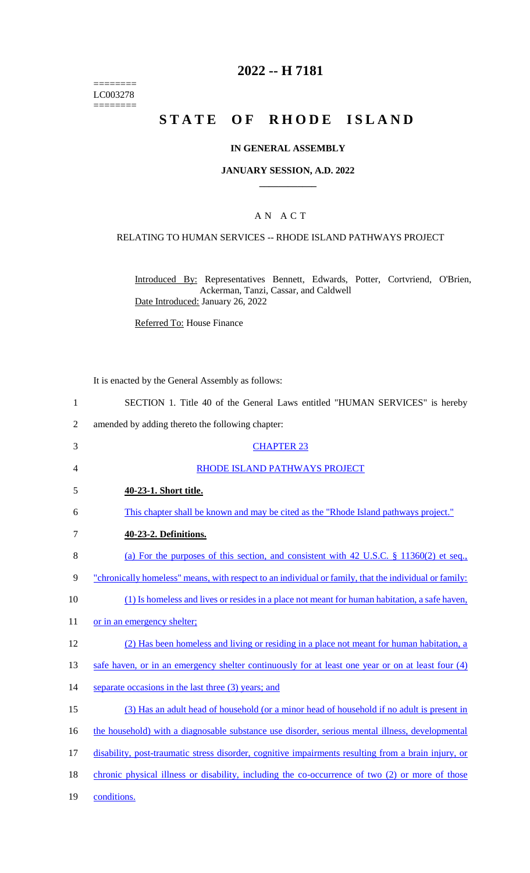======== LC003278  $=$ 

## **2022 -- H 7181**

# **STATE OF RHODE ISLAND**

## **IN GENERAL ASSEMBLY**

## **JANUARY SESSION, A.D. 2022 \_\_\_\_\_\_\_\_\_\_\_\_**

## A N A C T

## RELATING TO HUMAN SERVICES -- RHODE ISLAND PATHWAYS PROJECT

Introduced By: Representatives Bennett, Edwards, Potter, Cortvriend, O'Brien, Ackerman, Tanzi, Cassar, and Caldwell Date Introduced: January 26, 2022

Referred To: House Finance

It is enacted by the General Assembly as follows:

| SECTION 1. Title 40 of the General Laws entitled "HUMAN SERVICES" is hereby |
|-----------------------------------------------------------------------------|
|-----------------------------------------------------------------------------|

2 amended by adding thereto the following chapter:

| 3  | <b>CHAPTER 23</b>                                                                                     |
|----|-------------------------------------------------------------------------------------------------------|
| 4  | RHODE ISLAND PATHWAYS PROJECT                                                                         |
| 5  | 40-23-1. Short title.                                                                                 |
| 6  | This chapter shall be known and may be cited as the "Rhode Island pathways project."                  |
| 7  | 40-23-2. Definitions.                                                                                 |
| 8  | (a) For the purposes of this section, and consistent with 42 U.S.C. $\S$ 11360(2) et seq.,            |
| 9  | "chronically homeless" means, with respect to an individual or family, that the individual or family: |
| 10 | (1) Is homeless and lives or resides in a place not meant for human habitation, a safe haven,         |
| 11 | or in an emergency shelter;                                                                           |
| 12 | (2) Has been homeless and living or residing in a place not meant for human habitation, a             |
| 13 | safe haven, or in an emergency shelter continuously for at least one year or on at least four (4)     |
| 14 | separate occasions in the last three (3) years; and                                                   |
| 15 | (3) Has an adult head of household (or a minor head of household if no adult is present in            |
| 16 | the household) with a diagnosable substance use disorder, serious mental illness, developmental       |
| 17 | disability, post-traumatic stress disorder, cognitive impairments resulting from a brain injury, or   |
| 18 | chronic physical illness or disability, including the co-occurrence of two (2) or more of those       |
| 19 | conditions.                                                                                           |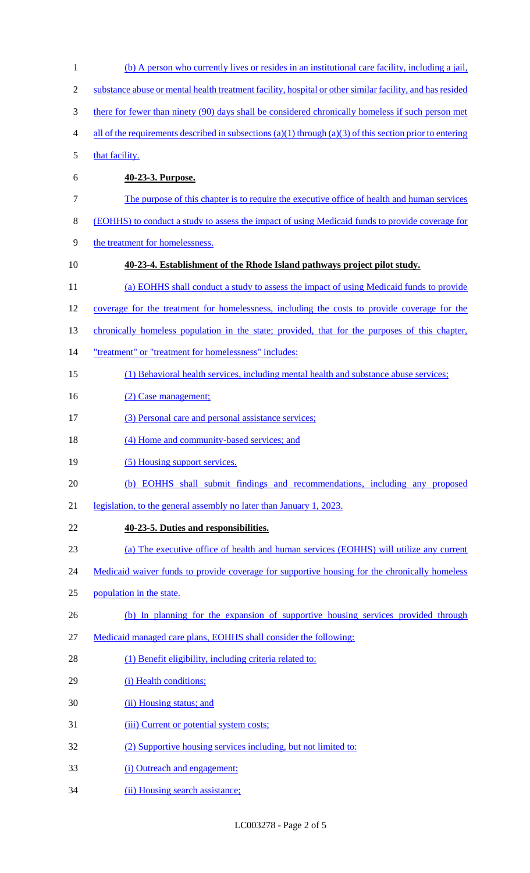(b) A person who currently lives or resides in an institutional care facility, including a jail, substance abuse or mental health treatment facility, hospital or other similar facility, and has resided there for fewer than ninety (90) days shall be considered chronically homeless if such person met 4 all of the requirements described in subsections (a)(1) through (a)(3) of this section prior to entering 5 that facility. **40-23-3. Purpose.**  The purpose of this chapter is to require the executive office of health and human services (EOHHS) to conduct a study to assess the impact of using Medicaid funds to provide coverage for 9 the treatment for homelessness. **40-23-4. Establishment of the Rhode Island pathways project pilot study.**  (a) EOHHS shall conduct a study to assess the impact of using Medicaid funds to provide coverage for the treatment for homelessness, including the costs to provide coverage for the 13 chronically homeless population in the state; provided, that for the purposes of this chapter, "treatment" or "treatment for homelessness" includes: (1) Behavioral health services, including mental health and substance abuse services; 16 (2) Case management; (3) Personal care and personal assistance services; (4) Home and community-based services; and 19 (5) Housing support services. (b) EOHHS shall submit findings and recommendations, including any proposed 21 legislation, to the general assembly no later than January 1, 2023. **40-23-5. Duties and responsibilities.**  (a) The executive office of health and human services (EOHHS) will utilize any current 24 Medicaid waiver funds to provide coverage for supportive housing for the chronically homeless population in the state. (b) In planning for the expansion of supportive housing services provided through Medicaid managed care plans, EOHHS shall consider the following: 28 (1) Benefit eligibility, including criteria related to: 29 (i) Health conditions; (ii) Housing status; and 31 (iii) Current or potential system costs; (2) Supportive housing services including, but not limited to: (i) Outreach and engagement; 34 (ii) Housing search assistance;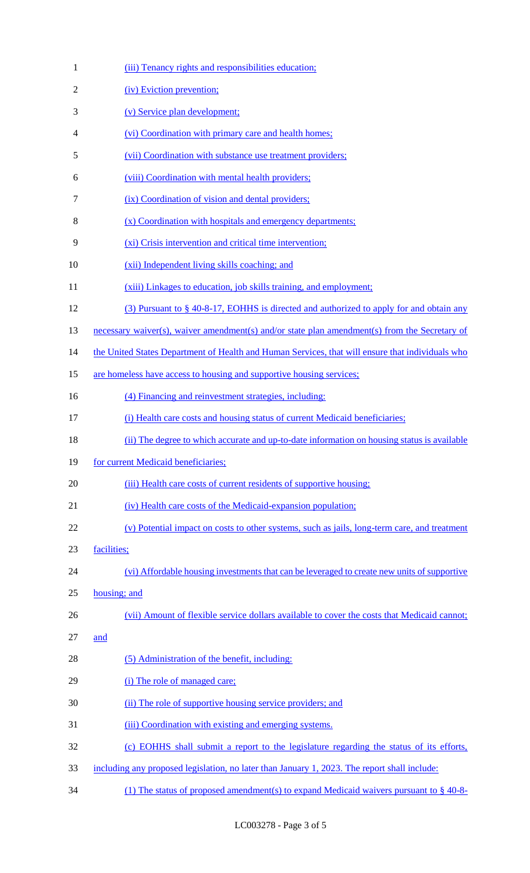| 1              | (iii) Tenancy rights and responsibilities education;                                             |
|----------------|--------------------------------------------------------------------------------------------------|
| $\overline{c}$ | (iv) Eviction prevention;                                                                        |
| 3              | (v) Service plan development;                                                                    |
| 4              | (vi) Coordination with primary care and health homes;                                            |
| 5              | (vii) Coordination with substance use treatment providers;                                       |
| 6              | (viii) Coordination with mental health providers;                                                |
| $\tau$         | (ix) Coordination of vision and dental providers;                                                |
| 8              | (x) Coordination with hospitals and emergency departments;                                       |
| 9              | (xi) Crisis intervention and critical time intervention;                                         |
| 10             | (xii) Independent living skills coaching; and                                                    |
| 11             | (xiii) Linkages to education, job skills training, and employment;                               |
| 12             | $(3)$ Pursuant to § 40-8-17, EOHHS is directed and authorized to apply for and obtain any        |
| 13             | necessary waiver(s), waiver amendment(s) and/or state plan amendment(s) from the Secretary of    |
| 14             | the United States Department of Health and Human Services, that will ensure that individuals who |
| 15             | are homeless have access to housing and supportive housing services;                             |
| 16             | (4) Financing and reinvestment strategies, including:                                            |
| 17             | (i) Health care costs and housing status of current Medicaid beneficiaries;                      |
| 18             | (ii) The degree to which accurate and up-to-date information on housing status is available      |
| 19             | for current Medicaid beneficiaries;                                                              |
| 20             | (iii) Health care costs of current residents of supportive housing;                              |
| 21             | (iv) Health care costs of the Medicaid-expansion population;                                     |
| 22             | (v) Potential impact on costs to other systems, such as jails, long-term care, and treatment     |
| 23             | facilities;                                                                                      |
| 24             | (vi) Affordable housing investments that can be leveraged to create new units of supportive      |
| 25             | housing; and                                                                                     |
| 26             | (vii) Amount of flexible service dollars available to cover the costs that Medicaid cannot;      |
| 27             | and                                                                                              |
| 28             | (5) Administration of the benefit, including:                                                    |
| 29             | (i) The role of managed care;                                                                    |
| 30             | (ii) The role of supportive housing service providers; and                                       |
| 31             | (iii) Coordination with existing and emerging systems.                                           |
| 32             | (c) EOHHS shall submit a report to the legislature regarding the status of its efforts,          |
| 33             | including any proposed legislation, no later than January 1, 2023. The report shall include:     |
| 34             | (1) The status of proposed amendment(s) to expand Medicaid waivers pursuant to $\S$ 40-8-        |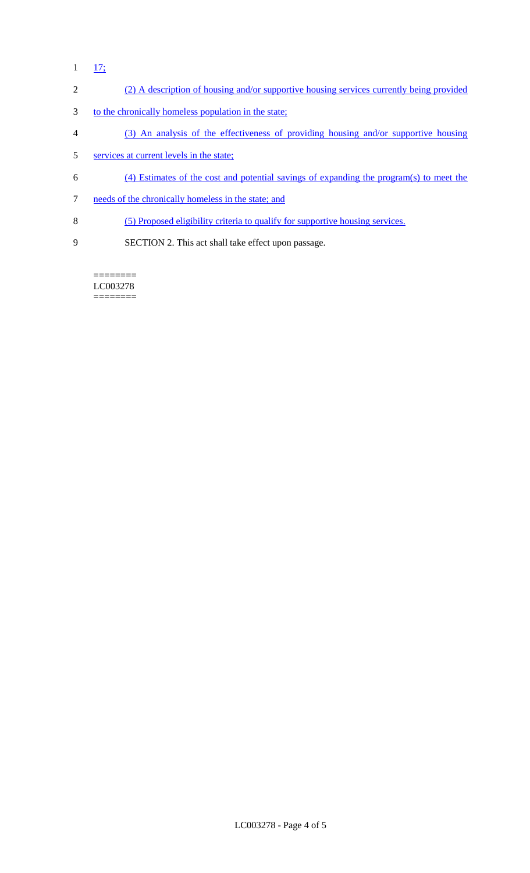$1 - \frac{17}{17}$ 

## 2 (2) A description of housing and/or supportive housing services currently being provided

- 3 to the chronically homeless population in the state;
- 4 (3) An analysis of the effectiveness of providing housing and/or supportive housing
- 5 services at current levels in the state;
- 6 (4) Estimates of the cost and potential savings of expanding the program(s) to meet the
- 7 needs of the chronically homeless in the state; and
- 8 (5) Proposed eligibility criteria to qualify for supportive housing services.
- 9 SECTION 2. This act shall take effect upon passage.

======== LC003278 ========